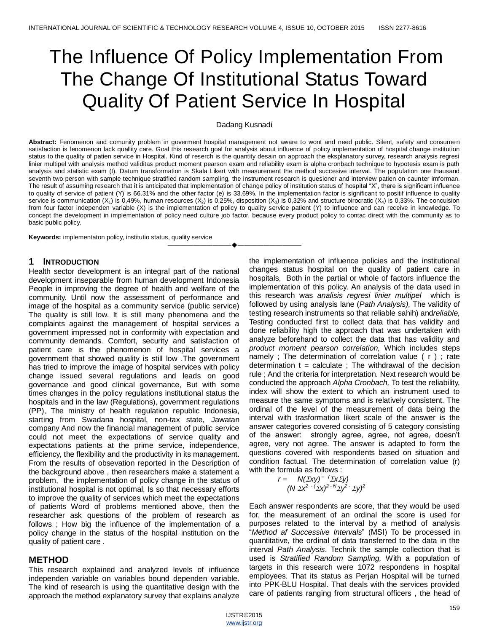# The Influence Of Policy Implementation From The Change Of Institutional Status Toward Quality Of Patient Service In Hospital

#### Dadang Kusnadi

**Abstract:** Fenomenon and comunity problem in goverment hospital management not aware to wont and need public. Silent, safety and consumen satisfaction is fenomenon lack quallity care. Goal this research goal for analysis about influence of policy implementation of hospital change institution status to the quality of patien service in Hospital. Kind of reserch is the quantity desain on approach the eksplanatory survey, research analysis regresi linier multipel with analysis method validitas product moment pearson exam and reliability exam is alpha cronbach technique to hypotesis exam is path analysis and statistic exam (t). Datum transformation is Skala Likert with measurement the method succesive interval. The population one thausand seventh two person with sample technique stratified random sampling, the instrument research is quesioner and interview patien on caunter imforman. The result of assuming research that it is anticipated that implementation of change policy of institution status of hospital "X", there is significant influence to quality of service of patient (Y) is 66.31% and the other factor (e) is 33.69%. In the implementation factor is significant to positif influence to quality service is communication  $(X_1)$  is 0,49%, human resources  $(X_2)$  is 0,25%, disposition  $(X_3)$  is 0,32% and structure birocratic  $(X_4)$  is 0,33%. The conculsion from four factor independen variable (X) is the implementation of policy to quality service patient (Y) to influence and can receive in knowledge. To concept the development in implementation of policy need culture job factor, because every product policy to contac direct with the community as to basic public policy.

————————————————————

**Keywords:** implementaton policy, institutio status, quality service

#### **1 INTRODUCTION**

Health sector development is an integral part of the national development inseparable from human development Indonesia People in improving the degree of health and welfare of the community. Until now the assessment of performance and image of the hospital as a community service (public service) The quality is still low. It is still many phenomena and the complaints against the management of hospital services a government impressed not in conformity with expectation and community demands. Comfort, security and satisfaction of patient care is the phenomenon of hospital services a government that showed quality is still low .The government has tried to improve the image of hospital services with policy change issued several regulations and leads on good governance and good clinical governance, But with some times changes in the policy regulations institutional status the hospitals and in the law (Regulations), government regulations (PP), The ministry of health regulation republic Indonesia, starting from Swadana hospital, non-tax state, Jawatan company And now the financial management of public service could not meet the expectations of service quality and expectations patients at the prime service, independence, efficiency, the flexibility and the productivity in its management. From the results of obsevation reported in the Description of the background above , then researchers make a statement a problem, the implementation of policy change in the status of institutional hospital is not optimal, Is so that necessary efforts to improve the quality of services which meet the expectations of patients Word of problems mentioned above, then the researcher ask questions of the problem of research as follows ; How big the influence of the implementation of a policy change in the status of the hospital institution on the quality of patient care .

#### **METHOD**

This research explained and analyzed levels of influence independen variable on variables bound dependen variable. The kind of research is using the quantitative design with the approach the method explanatory survey that explains analyze

the implementation of influence policies and the institutional changes status hospital on the quality of patient care in hospitals, Both in the partial or whole of factors influence the implementation of this policy. An analysis of the data used in this research was *analisis regresi linier multipel* which is followed by using analysis lane (*Path Analysis),* The validity of testing research instruments so that reliable sahih) and*reliable,*  Testing conducted first to collect data that has validity and done reliability high the approach that was undertaken with analyze beforehand to collect the data that has validity and *product moment pearson correlation,* Which includes steps namely ; The determination of correlation value ( r ) ; rate determination  $t =$  calculate ; The withdrawal of the decision rule ; And the criteria for interpretation. Next research would be conducted the approach *Alpha Cronbach,* To test the reliability, index will show the extent to which an instrument used to measure the same symptoms and is relatively consistent. The ordinal of the level of the measurement of data being the interval with trasformation likert scale of the answer is the answer categories covered consisting of 5 category consisting of the answer: strongly agree, agree, not agree, doesn't agree, very not agree. The answer is adapted to form the questions covered with respondents based on situation and condition factual. The determination of correlation value (r) with the formula as follows :

$$
r = \frac{N(\Sigma xy)^{-1} \Sigma x \Sigma y}{(N \Sigma x^{2-1} \Sigma x)^{2-1} \Sigma y^{2-1} \Sigma y^{2}}
$$

Each answer respondents are score, that they would be used for, the measurement of an ordinal the score is used for purposes related to the interval by a method of analysis "*Method af Successive Intervals*" (MSI) To be processed in quantitative, the ordinal of data transferred to the data in the interval *Path Analysis*. Technik the sample collection that is used is *Stratified Random Sampling,* With a population of targets in this research were 1072 respondens in hospital employees. That its status as Perjan Hospital will be turned into PPK-BLU Hospital. That deals with the services provided care of patients ranging from structural officers , the head of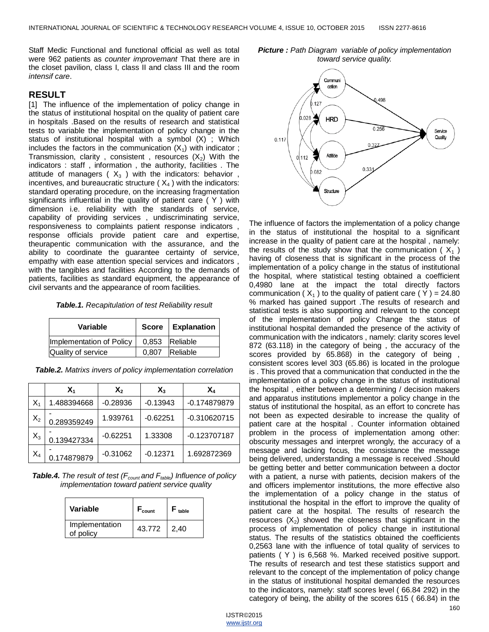Staff Medic Functional and functional official as well as total were 962 patients as *counter improvemant* That there are in the closet pavilion, class I, class II and class III and the room *intensif care*.

#### **RESULT**

[1] The influence of the implementation of policy change in the status of institutional hospital on the quality of patient care in hospitals .Based on the results of research and statistical tests to variable the implementation of policy change in the status of institutional hospital with a symbol (X) ; Which includes the factors in the communication  $(X_1)$  with indicator; Transmission, clarity, consistent, resources  $(X_2)$  With the indicators : staff , information , the authority, facilities . The attitude of managers ( $X_3$ ) with the indicators: behavior, incentives, and bureaucratic structure ( $X_4$ ) with the indicators: standard operating procedure, on the increasing fragmentation significants influential in the quality of patient care ( Y ) with dimension i.e. reliability with the standards of service, capability of providing services , undiscriminating service, responsiveness to complaints patient response indicators , response officials provide patient care and expertise, theurapentic communication with the assurance, and the ability to coordinate the guarantee certainty of service, empathy with ease attention special services and indicators , with the tangibles and facilities According to the demands of patients, facilities as standard equipment, the appearance of civil servants and the appearance of room facilities.

| Variable                 |       | Score   Explanation |
|--------------------------|-------|---------------------|
| Implementation of Policy |       | 0,853 Reliable      |
| Quality of service       | 0.807 | Reliable            |

|       | $\mathsf{X}_1$ | $\mathsf{X}_2$ | X,         | X,             |
|-------|----------------|----------------|------------|----------------|
| $X_1$ | 1.488394668    | $-0.28936$     | $-0.13943$ | $-0.174879879$ |
| $X_2$ | 0.289359249    | 1.939761       | $-0.62251$ | $-0.310620715$ |
| $X_3$ | 0.139427334    | $-0.62251$     | 1.33308    | $-0.123707187$ |
| $X_4$ | 0.174879879    | $-0.31062$     | $-0.12371$ | 1.692872369    |

*Table.4. The result of test (Fcount and Ftable) Influence of policy implementation toward patient service quality*

| Variable                    | $F_{\text{count}}$ | $F_{\text{table}}$ |
|-----------------------------|--------------------|--------------------|
| Implementation<br>of policy | 43.772             | 2,40               |





The influence of factors the implementation of a policy change in the status of institutional the hospital to a significant increase in the quality of patient care at the hospital , namely: the results of the study show that the communication ( $X_1$ ) having of closeness that is significant in the process of the implementation of a policy change in the status of institutional the hospital, where statistical testing obtained a coefficient 0,4980 lane at the impact the total directly factors communication ( $X_1$ ) to the quality of patient care (Y) = 24.80 % marked has gained support .The results of research and statistical tests is also supporting and relevant to the concept of the implementation of policy Change the status of institutional hospital demanded the presence of the activity of communication with the indicators , namely: clarity scores level 872 (63.118) in the category of being , the accuracy of the scores provided by 65.868) in the category of being , consistent scores level 303 (65.86) is located in the prologue is . This proved that a communication that conducted in the the implementation of a policy change in the status of institutional the hospital , either between a determining / decision makers and apparatus institutions implementor a policy change in the status of institutional the hospital, as an effort to concrete has not been as expected desirable to increase the quality of patient care at the hospital . Counter information obtained problem in the process of implementation among other: obscurity messages and interpret wrongly, the accuracy of a message and lacking focus, the consistance the message being delivered, understanding a message is received .Should be getting better and better communication between a doctor with a patient, a nurse with patients, decision makers of the and officers implementor institutions, the more effective also the implementation of a policy change in the status of institutional the hospital in the effort to improve the quality of patient care at the hospital. The results of research the resources  $(X_2)$  showed the closeness that significant in the process of implementation of policy change in institutional status. The results of the statistics obtained the coefficients 0,2563 lane with the influence of total quality of services to patients ( Y ) is 6,568 %. Marked received positive support. The results of research and test these statistics support and relevant to the concept of the implementation of policy change in the status of institutional hospital demanded the resources to the indicators, namely: staff scores level ( 66.84 292) in the category of being, the ability of the scores 615 ( 66.84) in the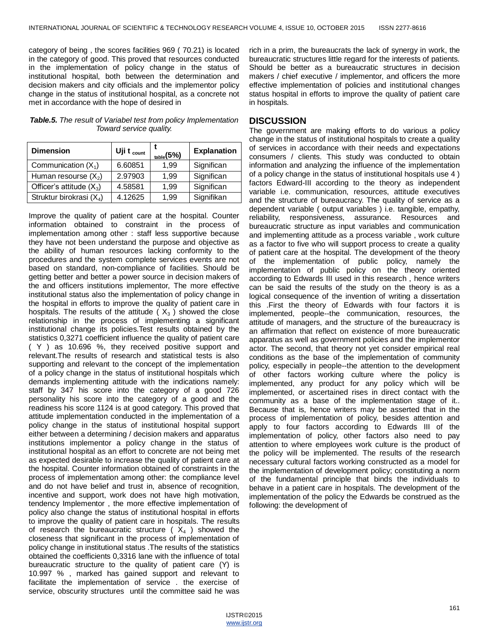category of being , the scores facilities 969 ( 70.21) is located in the category of good. This proved that resources conducted in the implementation of policy change in the status of institutional hospital, both between the determination and decision makers and city officials and the implementor policy change in the status of institutional hospital, as a concrete not met in accordance with the hope of desired in

*Table.5. The result of Variabel test from policy Implementation Toward service quality.*

| <b>Dimension</b>                     | Uji t $_{\rm count}$ | $_{\text{table}}(5\%)$ | <b>Explanation</b> |
|--------------------------------------|----------------------|------------------------|--------------------|
| Communication $(X_1)$                | 6.60851              | 1.99                   | Significan         |
| Human resourse $(X_2)$               | 2.97903              | 1.99                   | Significan         |
| Officer's attitude $(X_3)$           | 4.58581              | 1.99                   | Significan         |
| Struktur birokrasi (X <sub>4</sub> ) | 4.12625              | 1.99                   | Signifikan         |

Improve the quality of patient care at the hospital. Counter information obtained to constraint in the process of implementation among other : staff less supportive because they have not been understand the purpose and objective as the ability of human resources lacking conformity to the procedures and the system complete services events are not based on standard, non-compliance of facilities. Should be getting better and better a power source in decision makers of the and officers institutions implementor, The more effective institutional status also the implementation of policy change in the hospital in efforts to improve the quality of patient care in hospitals. The results of the attitude ( $X_3$ ) showed the close relationship in the process of implementing a significant institutional change its policies.Test results obtained by the statistics 0,3271 coefficient influence the quality of patient care ( Y ) as 10.696 %, they received positive support and relevant.The results of research and statistical tests is also supporting and relevant to the concept of the implementation of a policy change in the status of institutional hospitals which demands implementing attitude with the indications namely: staff by 347 his score into the category of a good 726 personality his score into the category of a good and the readiness his score 1124 is at good category. This proved that attitude implementation conducted in the implementation of a policy change in the status of institutional hospital support either between a determining / decision makers and apparatus institutions implementor a policy change in the status of institutional hospital as an effort to concrete are not being met as expected desirable to increase the quality of patient care at the hospital. Counter information obtained of constraints in the process of implementation among other: the compliance level and do not have belief and trust in, absence of recognition, incentive and support, work does not have high motivation, tendency Implementor , the more effective implementation of policy also change the status of institutional hospital in efforts to improve the quality of patient care in hospitals. The results of research the bureaucratic structure ( $X_4$ ) showed the closeness that significant in the process of implementation of policy change in institutional status .The results of the statistics obtained the coefficients 0,3316 lane with the influence of total bureaucratic structure to the quality of patient care (Y) is 10.997 % , marked has gained support and relevant to facilitate the implementation of service . the exercise of service, obscurity structures until the committee said he was

rich in a prim, the bureaucrats the lack of synergy in work, the bureaucratic structures little regard for the interests of patients. Should be better as a bureaucratic structures in decision makers / chief executive / implementor, and officers the more effective implementation of policies and institutional changes status hospital in efforts to improve the quality of patient care in hospitals.

### **DISCUSSION**

The government are making efforts to do various a policy change in the status of institutional hospitals to create a quality of services in accordance with their needs and expectations consumers / clients. This study was conducted to obtain information and analyzing the influence of the implementation of a policy change in the status of institutional hospitals use 4 ) factors Edward-III according to the theory as independent variable i.e. communication, resources, attitude executives and the structure of bureaucracy. The quality of service as a dependent variable ( output variables ) i.e. tangible, empathy, reliability, responsiveness, assurance. Resources and bureaucratic structure as input variables and communication and implementing attitude as a process variable , work culture as a factor to five who will support process to create a quality of patient care at the hospital. The development of the theory of the implementation of public policy, namely the implementation of public policy on the theory oriented according to Edwards III used in this research , hence writers can be said the results of the study on the theory is as a logical consequence of the invention of writing a dissertation this .First the theory of Edwards with four factors it is implemented, people--the communication, resources, the attitude of managers, and the structure of the bureaucracy is an affirmation that reflect on existence of more bureaucratic apparatus as well as government policies and the implementor actor. The second, that theory not yet consider empirical real conditions as the base of the implementation of community policy, especially in people--the attention to the development of other factors working culture where the policy is implemented, any product for any policy which will be implemented, or ascertained rises in direct contact with the community as a base of the implementation stage of it.. Because that is, hence writers may be asserted that in the process of implementation of policy, besides attention and apply to four factors according to Edwards III of the implementation of policy, other factors also need to pay attention to where employees work culture is the product of the policy will be implemented. The results of the research necessary cultural factors working constructed as a model for the implementation of development policy; constituting a norm of the fundamental principle that binds the individuals to behave in a patient care in hospitals. The development of the implementation of the policy the Edwards be construed as the following: the development of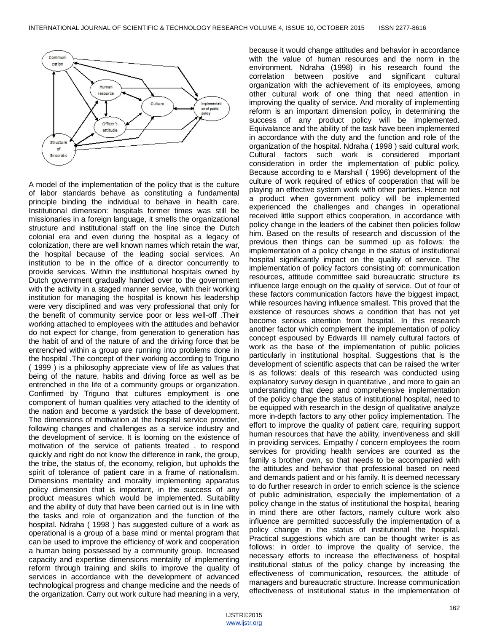

A model of the implementation of the policy that is the culture of labor standards behave as constituting a fundamental principle binding the individual to behave in health care. Institutional dimension: hospitals former times was still be missionaries in a foreign language, it smells the organizational structure and institutional staff on the line since the Dutch colonial era and even during the hospital as a legacy of colonization, there are well known names which retain the war, the hospital because of the leading social services. An institution to be in the office of a director concurrently to provide services. Within the institutional hospitals owned by Dutch government gradually handed over to the government with the activity in a staged manner service, with their working institution for managing the hospital is known his leadership were very disciplined and was very professional that only for the benefit of community service poor or less well-off .Their working attached to employees with the attitudes and behavior do not expect for change, from generation to generation has the habit of and of the nature of and the driving force that be entrenched within a group are running into problems done in the hospital .The concept of their working according to Triguno ( 1999 ) is a philosophy appreciate view of life as values that being of the nature, habits and driving force as well as be entrenched in the life of a community groups or organization. Confirmed by Triguno that cultures employment is one component of human qualities very attached to the identity of the nation and become a yardstick the base of development. The dimensions of motivation at the hospital service provider, following changes and challenges as a service industry and the development of service. It is looming on the existence of motivation of the service of patients treated , to respond quickly and right do not know the difference in rank, the group, the tribe, the status of, the economy, religion, but upholds the spirit of tolerance of patient care in a frame of nationalism. Dimensions mentality and morality implementing apparatus policy dimension that is important, in the success of any product measures which would be implemented. Suitability and the ability of duty that have been carried out is in line with the tasks and role of organization and the function of the hospital. Ndraha ( 1998 ) has suggested culture of a work as operational is a group of a base mind or mental program that can be used to improve the efficiency of work and cooperation a human being possessed by a community group. Increased capacity and expertise dimensions mentality of implementing reform through training and skills to improve the quality of services in accordance with the development of advanced technological progress and change medicine and the needs of the organization. Carry out work culture had meaning in a very,

because it would change attitudes and behavior in accordance with the value of human resources and the norm in the environment. Ndraha (1998) in his research found the correlation between positive and significant cultural organization with the achievement of its employees, among other cultural work of one thing that need attention in improving the quality of service. And morality of implementing reform is an important dimension policy, in determining the success of any product policy will be implemented. Equivalance and the ability of the task have been implemented in accordance with the duty and the function and role of the organization of the hospital. Ndraha ( 1998 ) said cultural work. Cultural factors such work is considered important consideration in order the implementation of public policy. Because according to e Marshall ( 1996) development of the culture of work required of ethics of cooperation that will be playing an effective system work with other parties. Hence not a product when government policy will be implemented experienced the challenges and changes in operational received little support ethics cooperation, in accordance with policy change in the leaders of the cabinet then policies follow him. Based on the results of research and discussion of the previous then things can be summed up as follows: the implementation of a policy change in the status of institutional hospital significantly impact on the quality of service. The implementation of policy factors consisting of: communication resources, attitude committee said bureaucratic structure its influence large enough on the quality of service. Out of four of these factors communication factors have the biggest impact, while resources having influence smallest. This proved that the existence of resources shows a condition that has not yet become serious attention from hospital. In this research another factor which complement the implementation of policy concept espoused by Edwards III namely cultural factors of work as the base of the implementation of public policies particularly in institutional hospital. Suggestions that is the development of scientific aspects that can be raised the writer is as follows: deals of this research was conducted using explanatory survey design in quantitative , and more to gain an understanding that deep and comprehensive implementation of the policy change the status of institutional hospital, need to be equipped with research in the design of qualitative analyze more in-depth factors to any other policy implementation. The effort to improve the quality of patient care, requiring support human resources that have the ability, inventiveness and skill in providing services. Empathy / concern employees the room services for providing health services are counted as the family s brother own, so that needs to be accompanied with the attitudes and behavior that professional based on need and demands patient and or his family. It is deemed necessary to do further research in order to enrich science is the science of public administration, especially the implementation of a policy change in the status of institutional the hospital, bearing in mind there are other factors, namely culture work also influence are permitted successfully the implementation of a policy change in the status of institutional the hospital. Practical suggestions which are can be thought writer is as follows: in order to improve the quality of service, the necessary efforts to increase the effectiveness of hospital institutional status of the policy change by increasing the effectiveness of communication, resources, the attitude of managers and bureaucratic structure. Increase communication effectiveness of institutional status in the implementation of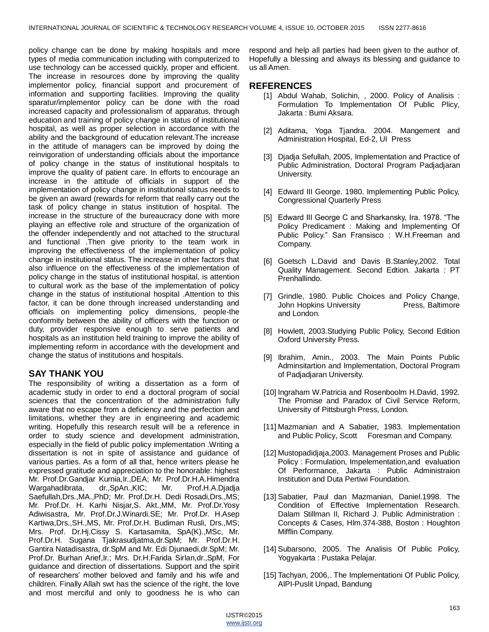policy change can be done by making hospitals and more types of media communication including with computerized to use technology can be accessed quickly, proper and efficient. The increase in resources done by improving the quality implementor policy, financial support and procurement of information and supporting facilities. Improving the quality sparatur/implementor policy can be done with the road increased capacity and professionalism of apparatus, through education and training of policy change in status of institutional hospital, as well as proper selection in accordance with the ability and the background of education relevant.The increase in the attitude of managers can be improved by doing the reinvigoration of understanding officials about the importance of policy change in the status of institutional hospitals to improve the quality of patient care. In efforts to encourage an increase in the attitude of officials in support of the implementation of policy change in institutional status needs to be given an award (rewards for reform that really carry out the task of policy change in status institution of hospital. The increase in the structure of the bureaucracy done with more playing an effective role and structure of the organization of the offender independently and not attached to the structural and functional .Then give priority to the team work in improving the effectiveness of the implementation of policy change in institutional status. The increase in other factors that also influence on the effectiveness of the implementation of policy change in the status of institutional hospital, is attention to cultural work as the base of the implementation of policy change in the status of institutional hospital .Attention to this factor, it can be done through increased understanding and officials on implementing policy dimensions, people-the conformity between the ability of officers with the function or duty, provider responsive enough to serve patients and hospitals as an institution held training to improve the ability of implementing reform in accordance with the development and change the status of institutions and hospitals.

## **SAY THANK YOU**

The responsibility of writing a dissertation as a form of academic study in order to end a doctoral program of social sciences that the concentration of the administration fully aware that no escape from a deficiency and the perfection and limitations, whether they are in engineering and academic writing. Hopefully this research result will be a reference in order to study science and development administration, especially in the field of public policy implementation .Writing a dissertation is not in spite of assistance and guidance of various parties. As a form of all that, hence writers please he expressed gratitude and appreciation to the honorable: highest Mr. Prof.Dr.Gandjar Kurnia,Ir.,DEA; Mr. Prof.Dr.H.A.Himendra Wargahadibrata, dr.,SpAn.,KIC; Mr. Prof.H.A.Djadja Saefullah,Drs.,MA.,PhD; Mr. Prof.Dr.H. Dedi Rosadi,Drs.,MS; Mr. Prof.Dr. H. Karhi Nisjar,S. Akt.,MM, Mr. Prof.Dr.Yosy Adiwisastra, Mr. Prof.Dr.J.Winardi.SE; Mr. Prof.Dr. H.Asep Kartiwa,Drs.,SH.,MS, Mr. Prof.Dr.H. Budiman Rusli, Drs.,MS; Mrs. Prof. Dr.Hj.Cissy S. Kartasamita, SpA(K).,MSc, Mr. Prof.Dr.H. Sugana Tjakrasudjatma,dr.SpM; Mr. Prof.Dr.H. Gantira Natadisastra, dr.SpM and Mr. Edi Djunaedi,dr.SpM; Mr. Prof.Dr. Burhan Arief,Ir.; Mrs. Dr.H.Farida Sirlan,dr.,SpM, For guidance and direction of dissertations. Support and the spirit of researchers' mother beloved and family and his wife and children. Finally Allah swt has the science of the right, the love and most merciful and only to goodness he is who can respond and help all parties had been given to the author of. Hopefully a blessing and always its blessing and guidance to us all Amen.

## **REFERENCES**

- [1] Abdul Wahab, Solichin, , 2000. Policy of Analisis : Formulation To Implementation Of Public Plicy, Jakarta : Bumi Aksara.
- [2] Aditama, Yoga Tjandra. 2004. Mangement and Administration Hospital, Ed-2, UI Press
- [3] Djadja Sefullah, 2005, Implementation and Practice of Public Administration, Doctoral Program Padjadjaran University.
- [4] Edward III George. 1980. Implementing Public Policy, Congressional Quarterly Press
- [5] Edward III George C and Sharkansky, Ira. 1978. "The Policy Predicament : Making and Implementing Of Public Policy." San Fransisco : W.H.Freeman and Company.
- [6] Goetsch L.David and Davis B.Stanley,2002. Total Quality Management. Second Edtion. Jakarta : PT Prenhallindo.
- [7] Grindle, 1980. Public Choices and Policy Change, John Hopkins University **Press**, Baltimore and London.
- [8] Howlett, 2003.Studying Public Policy, Second Edition Oxford University Press.
- [9] Ibrahim, Amin., 2003. The Main Points Public Adminsitartion and Implementation, Doctoral Program of Padjadjaran University.
- [10] Ingraham W.Patricia and Rosenboolm H.David, 1992. The Promise and Paradox of Civil Service Reform, University of Pittsburgh Press, London.
- [11] Mazmanian and A Sabatier, 1983. Implementation and Public Policy, Scott Foresman and Company.
- [12] Mustopadidjaja, 2003. Management Proses and Public Policy : Formulation, Impelementation,and evaluation Of Performance, Jakarta : Public Administraion Institution and Duta Pertiwi Foundation.
- [13] Sabatier, Paul dan Mazmanian, Daniel.1998. The Condition of Effective Implementation Research. Dalam Stillman II, Richard J. Public Administration : Concepts & Cases, Hlm.374-388, Boston : Houghton Mifflin Company.
- [14] Subarsono, 2005. The Analisis Of Public Policy, Yogyakarta : Pustaka Pelajar.
- [15] Tachyan, 2006,. The Implementationi Of Public Policy, AIPI-Puslit Unpad, Bandung